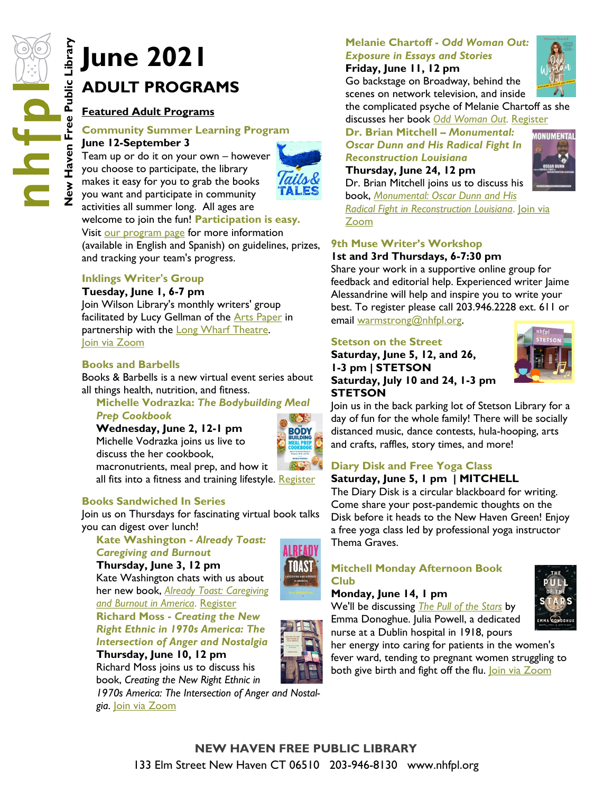# **ADULT PROGRAMS**

# **Featured Adult Programs**

#### **Community Summer Learning Program June 12-September 3**

Team up or do it on your own – however you choose to participate, the library makes it easy for you to grab the books you want and participate in community



activities all summer long. All ages are welcome to join the fun! **Participation is easy.**

Visit [our program page](https://nhfpl.org/ym-reading-programs/) for more information (available in English and Spanish) on guidelines, prizes, and tracking your team's progress.

# **Inklings Writer's Group**

#### **Tuesday, June 1, 6-7 pm**

Join Wilson Library's monthly writers' group facilitated by Lucy Gellman of the **[Arts Paper](https://www.newhavenarts.org/arts-paper/articles)** in partnership with the **[Long Wharf Theatre.](https://www.longwharf.org/)** [Join via Zoom](https://nhfpl.libnet.info/event/5168194)

#### **Books and Barbells**

Books & Barbells is a new virtual event series about all things health, nutrition, and fitness.

#### **Michelle Vodrazka:** *The Bodybuilding Meal Prep Cookbook*

**Wednesday, June 2, 12-1 pm** Michelle Vodrazka joins us live to discuss the her cookbook, macronutrients, meal prep, and how it



all fits into a fitness and training lifestyle. [Register](https://nhfpl.libnet.info/event/5109785)

#### **Books Sandwiched In Series**

Join us on Thursdays for fascinating virtual book talks you can digest over lunch!

**Kate Washington -** *Already Toast: Caregiving and Burnout*  **Thursday, June 3, 12 pm** Kate Washington chats with us about her new book, *[Already Toast: Caregiving](http://nhave-encore.iii.com/iii/encore/record/C__Rb1608600__SAlready%20Toast%3A%20Caregiving%20and%20Burnout%20in%20America__Orightresult__U__X4?lang=eng&suite=cobalt)  [and Burnout in America](http://nhave-encore.iii.com/iii/encore/record/C__Rb1608600__SAlready%20Toast%3A%20Caregiving%20and%20Burnout%20in%20America__Orightresult__U__X4?lang=eng&suite=cobalt)*. [Register](https://nhfpl.libnet.info/event/5083817) **Richard Moss -** *Creating the New Right Ethnic in 1970s America: The Intersection of Anger and Nostalgia* 



*1970s America: The Intersection of Anger and Nostalgia*. [Join via Zoom](https://nhfpl.libnet.info/event/4890858)

# **Melanie Chartoff -** *Odd Woman Out: Exposure in Essays and Stories*

**Friday, June 11, 12 pm** Go backstage on Broadway, behind the scenes on network television, and inside



*AONUMENTAL* 

the complicated psyche of Melanie Chartoff as she discusses her book *[Odd Woman Out](http://nhave-encore.iii.com/iii/encore/record/C__Rb1613624__SOdd%20Woman%20Out__Orightresult__U__X6;jsessionid=9966E366D50187B9CC31A89A1A5F234C?lang=eng&suite=cobalt)*. [Register](https://nhfpl.libnet.info/event/5098769)

**Dr. Brian Mitchell –** *Monumental: Oscar Dunn and His Radical Fight In Reconstruction Louisiana*

# **Thursday, June 24, 12 pm**

Dr. Brian Mitchell joins us to discuss his

book, *[Monumental: Oscar Dunn and His](http://nhave-encore.iii.com/iii/encore/record/C__Rb1614759__SMonumental%3A%20Oscar%20Dunn%20and%20His%20Radical%20Fight%20In%20Reconstruction%20Louisiana__Orightresult__U__X4?lang=eng&suite=cobalt)  [Radical Fight in Reconstruction Louisiana](http://nhave-encore.iii.com/iii/encore/record/C__Rb1614759__SMonumental%3A%20Oscar%20Dunn%20and%20His%20Radical%20Fight%20In%20Reconstruction%20Louisiana__Orightresult__U__X4?lang=eng&suite=cobalt)*. [Join via](https://nhfpl.libnet.info/event/5058763)  [Zoom](https://nhfpl.libnet.info/event/5058763)

#### **9th Muse Writer's Workshop 1st and 3rd Thursdays, 6-7:30 pm**

Share your work in a supportive online group for feedback and editorial help. Experienced writer Jaime Alessandrine will help and inspire you to write your best. To register please call 203.946.2228 ext. 611 or email [warmstrong@nhfpl.org.](mailto:warmstrong@nhfpl.org) 

#### **Stetson on the Street**

**Saturday, June 5, 12, and 26, 1-3 pm | STETSON Saturday, July 10 and 24, 1-3 pm STETSON**



Join us in the back parking lot of Stetson Library for a day of fun for the whole family! There will be socially distanced music, dance contests, hula-hooping, arts and crafts, raffles, story times, and more!

# **Diary Disk and Free Yoga Class**

#### **Saturday, June 5, 1 pm | MITCHELL**

The Diary Disk is a circular blackboard for writing. Come share your post-pandemic thoughts on the Disk before it heads to the New Haven Green! Enjoy a free yoga class led by professional yoga instructor

# **Mitchell Monday Afternoon Book**

#### **Monday, June 14, 1 pm**

We'll be discussing *[The Pull of the Stars](http://nhave-encore.iii.com/iii/encore/record/C__Rb1597694__SThe%20Pull%20of%20the%20Stars__Orightresult__U__X6?lang=eng&suite=cobalt)* by Emma Donoghue. Julia Powell, a dedicated nurse at a Dublin hospital in 1918, pours

her energy into caring for patients in the women's fever ward, tending to pregnant women struggling to both give birth and fight off the flu. [Join via Zoom](https://nhfpl.libnet.info/event/4953808)